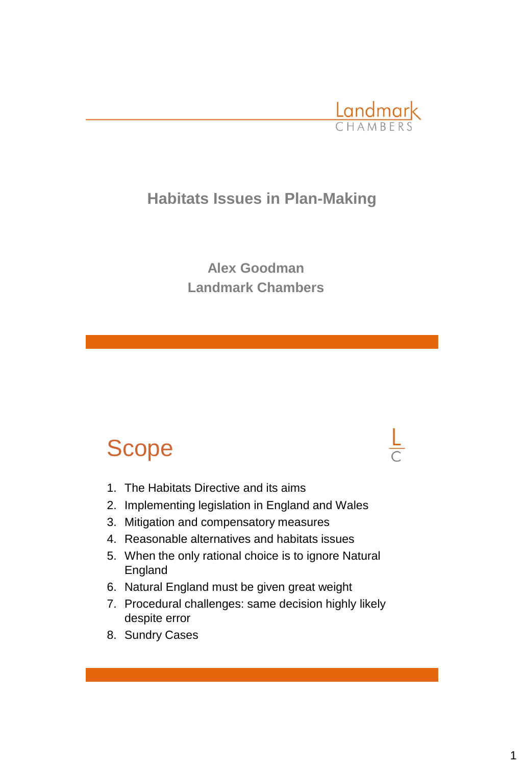

## **Habitats Issues in Plan-Making**

**Alex Goodman Landmark Chambers**

# Scope

- 1. The Habitats Directive and its aims
- 2. Implementing legislation in England and Wales
- 3. Mitigation and compensatory measures
- 4. Reasonable alternatives and habitats issues
- 5. When the only rational choice is to ignore Natural England
- 6. Natural England must be given great weight
- 7. Procedural challenges: same decision highly likely despite error
- 8. Sundry Cases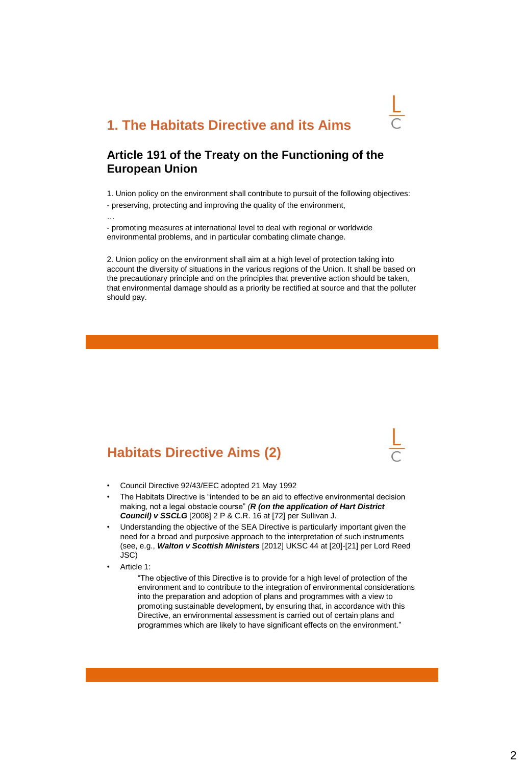## **1. The Habitats Directive and its Aims**

### **Article 191 of the Treaty on the Functioning of the European Union**

1. Union policy on the environment shall contribute to pursuit of the following objectives: - preserving, protecting and improving the quality of the environment,

- promoting measures at international level to deal with regional or worldwide environmental problems, and in particular combating climate change.

2. Union policy on the environment shall aim at a high level of protection taking into account the diversity of situations in the various regions of the Union. It shall be based on the precautionary principle and on the principles that preventive action should be taken, that environmental damage should as a priority be rectified at source and that the polluter should pay.

## **Habitats Directive Aims (2)**

- Council Directive 92/43/EEC adopted 21 May 1992
- The Habitats Directive is "intended to be an aid to effective environmental decision making, not a legal obstacle course" *(R (on the application of Hart District Council) v SSCLG* [2008] 2 P & C.R. 16 at [72] per Sullivan J.
- Understanding the objective of the SEA Directive is particularly important given the need for a broad and purposive approach to the interpretation of such instruments (see, e.g., *Walton v Scottish Ministers* [2012] UKSC 44 at [20]-[21] per Lord Reed JSC)
- Article 1:

…

"The objective of this Directive is to provide for a high level of protection of the environment and to contribute to the integration of environmental considerations into the preparation and adoption of plans and programmes with a view to promoting sustainable development, by ensuring that, in accordance with this Directive, an environmental assessment is carried out of certain plans and programmes which are likely to have significant effects on the environment."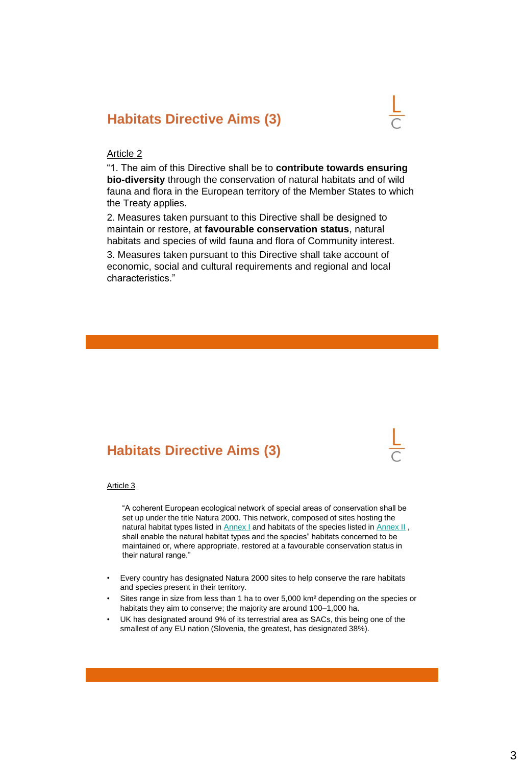## **Habitats Directive Aims (3)**



#### Article 2

"1. The aim of this Directive shall be to **contribute towards ensuring bio-diversity** through the conservation of natural habitats and of wild fauna and flora in the European territory of the Member States to which the Treaty applies.

2. Measures taken pursuant to this Directive shall be designed to maintain or restore, at **favourable conservation status**, natural habitats and species of wild fauna and flora of Community interest.

3. Measures taken pursuant to this Directive shall take account of economic, social and cultural requirements and regional and local characteristics."

## **Habitats Directive Aims (3)**

#### Article 3

"A coherent European ecological network of special areas of conservation shall be set up under the title Natura 2000. This network, composed of sites hosting the natural habitat types listed in **[Annex I](https://login.westlaw.co.uk/maf/wluk/app/document?src=doc&linktype=ref&context=15&crumb-action=replace&docguid=I2E7B1B84B63844289D4DF2BB1F56AEE0)** and habitats of the species listed in **[Annex II](https://login.westlaw.co.uk/maf/wluk/app/document?src=doc&linktype=ref&context=15&crumb-action=replace&docguid=I2E7B1B84B63844289D4DF2BB1F56AEE0)**, shall enable the natural habitat types and the species" habitats concerned to be maintained or, where appropriate, restored at a favourable conservation status in their natural range."

- Every country has designated Natura 2000 sites to help conserve the rare habitats and species present in their territory.
- Sites range in size from less than 1 ha to over 5,000 km² depending on the species or habitats they aim to conserve; the majority are around 100–1,000 ha.
- UK has designated around 9% of its terrestrial area as SACs, this being one of the smallest of any EU nation (Slovenia, the greatest, has designated 38%).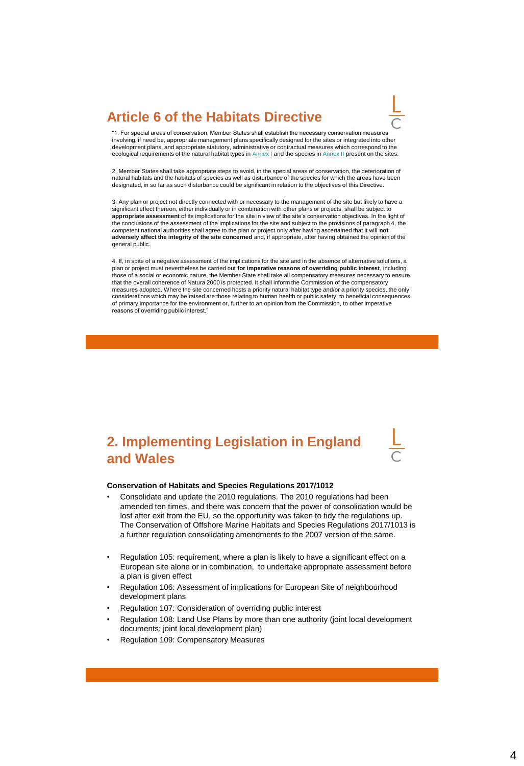## **Article 6 of the Habitats Directive**



"1. For special areas of conservation, Member States shall establish the necessary conservation measures involving, if need be, appropriate management plans specifically designed for the sites or integrated into other development plans, and appropriate statutory, administrative or contractual measures which correspond to the ecological requirements of the natural habitat types in [Annex I](https://login.westlaw.co.uk/maf/wluk/app/document?src=doc&linktype=ref&context=15&crumb-action=replace&docguid=I2E7B1B84B63844289D4DF2BB1F56AEE0) and the species in [Annex II](https://login.westlaw.co.uk/maf/wluk/app/document?src=doc&linktype=ref&context=15&crumb-action=replace&docguid=I2E7B1B84B63844289D4DF2BB1F56AEE0) present on the sites.

2. Member States shall take appropriate steps to avoid, in the special areas of conservation, the deterioration of natural habitats and the habitats of species as well as disturbance of the species for which the areas have been designated, in so far as such disturbance could be significant in relation to the objectives of this Directive.

3. Any plan or project not directly connected with or necessary to the management of the site but likely to have a significant effect thereon, either individually or in combination with other plans or projects, shall be subject to **appropriate assessment** of its implications for the site in view of the site's conservation objectives. In the light of the conclusions of the assessment of the implications for the site and subject to the provisions of paragraph 4, the competent national authorities shall agree to the plan or project only after having ascertained that it will **not adversely affect the integrity of the site concerned** and, if appropriate, after having obtained the opinion of the general public.

4. If, in spite of a negative assessment of the implications for the site and in the absence of alternative solutions, a plan or project must nevertheless be carried out **for imperative reasons of overriding public interest**, including those of a social or economic nature, the Member State shall take all compensatory measures necessary to ensure that the overall coherence of Natura 2000 is protected. It shall inform the Commission of the compensatory measures adopted. Where the site concerned hosts a priority natural habitat type and/or a priority species, the only considerations which may be raised are those relating to human health or public safety, to beneficial consequences of primary importance for the environment or, further to an opinion from the Commission, to other imperative reasons of overriding public interest."

## **2. Implementing Legislation in England and Wales**



#### **Conservation of Habitats and Species Regulations 2017/1012**

- Consolidate and update the 2010 regulations. The 2010 regulations had been amended ten times, and there was concern that the power of consolidation would be lost after exit from the EU, so the opportunity was taken to tidy the regulations up. The Conservation of Offshore Marine Habitats and Species Regulations 2017/1013 is a further regulation consolidating amendments to the 2007 version of the same.
- Regulation 105: requirement, where a plan is likely to have a significant effect on a European site alone or in combination, to undertake appropriate assessment before a plan is given effect
- Regulation 106: Assessment of implications for European Site of neighbourhood development plans
- Regulation 107: Consideration of overriding public interest
- Regulation 108: Land Use Plans by more than one authority (joint local development documents; joint local development plan)
- Regulation 109: Compensatory Measures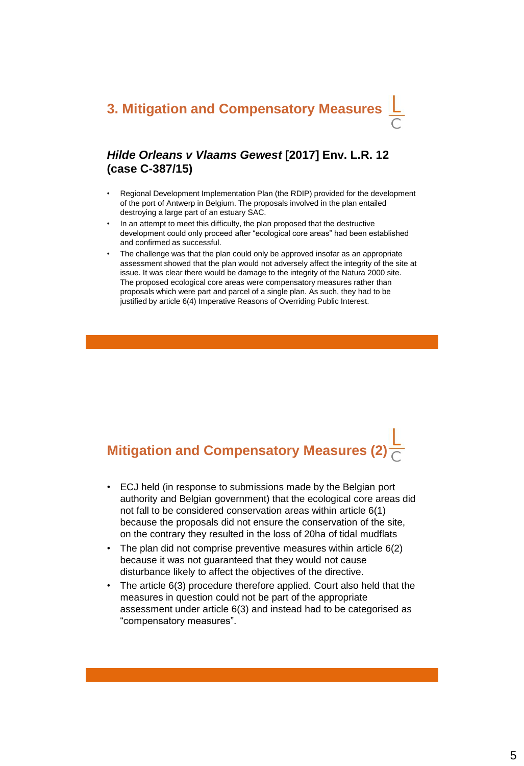## *Hilde Orleans v Vlaams Gewest* **[2017] Env. L.R. 12 (case C-387/15)**

- Regional Development Implementation Plan (the RDIP) provided for the development of the port of Antwerp in Belgium. The proposals involved in the plan entailed destroying a large part of an estuary SAC.
- In an attempt to meet this difficulty, the plan proposed that the destructive development could only proceed after "ecological core areas" had been established and confirmed as successful.
- The challenge was that the plan could only be approved insofar as an appropriate assessment showed that the plan would not adversely affect the integrity of the site at issue. It was clear there would be damage to the integrity of the Natura 2000 site. The proposed ecological core areas were compensatory measures rather than proposals which were part and parcel of a single plan. As such, they had to be justified by article 6(4) Imperative Reasons of Overriding Public Interest.

# **Mitigation and Compensatory Measures (2)**

- ECJ held (in response to submissions made by the Belgian port authority and Belgian government) that the ecological core areas did not fall to be considered conservation areas within article 6(1) because the proposals did not ensure the conservation of the site, on the contrary they resulted in the loss of 20ha of tidal mudflats
- The plan did not comprise preventive measures within article 6(2) because it was not guaranteed that they would not cause disturbance likely to affect the objectives of the directive.
- The article 6(3) procedure therefore applied. Court also held that the measures in question could not be part of the appropriate assessment under article 6(3) and instead had to be categorised as "compensatory measures".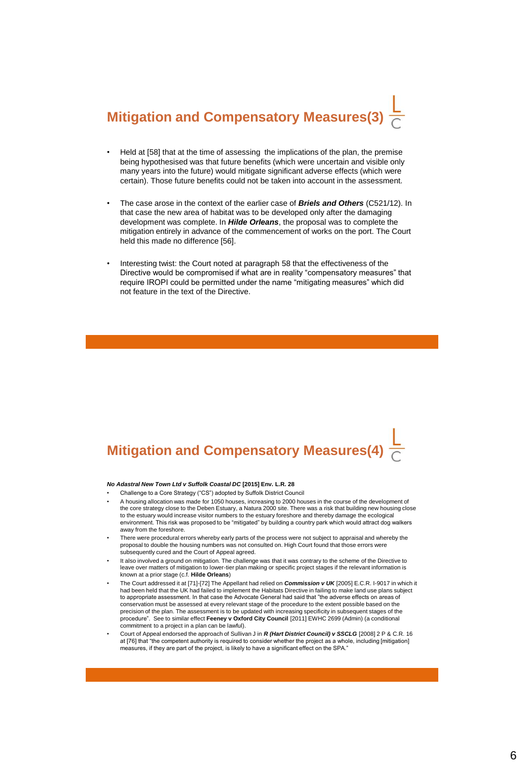# **Mitigation and Compensatory Measures(3)**

- Held at [58] that at the time of assessing the implications of the plan, the premise being hypothesised was that future benefits (which were uncertain and visible only many years into the future) would mitigate significant adverse effects (which were certain). Those future benefits could not be taken into account in the assessment.
- The case arose in the context of the earlier case of *Briels and Others* (C521/12). In that case the new area of habitat was to be developed only after the damaging development was complete. In *Hilde Orleans*, the proposal was to complete the mitigation entirely in advance of the commencement of works on the port. The Court held this made no difference [56].
- Interesting twist: the Court noted at paragraph 58 that the effectiveness of the Directive would be compromised if what are in reality "compensatory measures" that require IROPI could be permitted under the name "mitigating measures" which did not feature in the text of the Directive.

# **Mitigation and Compensatory Measures(4)**

#### *No Adastral New Town Ltd v Suffolk Coastal DC* **[2015] Env. L.R. 28**

- Challenge to a Core Strategy ("CS") adopted by Suffolk District Council
- A housing allocation was made for 1050 houses, increasing to 2000 houses in the course of the development of the core strategy close to the Deben Estuary, a Natura 2000 site. There was a risk that building new housing close to the estuary would increase visitor numbers to the estuary foreshore and thereby damage the ecological environment. This risk was proposed to be "mitigated" by building a country park which would attract dog walkers away from the foreshore.
- There were procedural errors whereby early parts of the process were not subject to appraisal and whereby the proposal to double the housing numbers was not consulted on. High Court found that those errors were subsequently cured and the Court of Appeal agreed.
- It also involved a ground on mitigation. The challenge was that it was contrary to the scheme of the Directive to leave over matters of mitigation to lower-tier plan making or specific project stages if the relevant information is known at a prior stage (c.f. **Hilde Orleans**)
- The Court addressed it at [71]-[72] The Appellant had relied on *Commission v UK* [2005] E.C.R. I-9017 in which it had been held that the UK had failed to implement the Habitats Directive in failing to make land use plans subject to appropriate assessment. In that case the Advocate General had said that "the adverse effects on areas of conservation must be assessed at every relevant stage of the procedure to the extent possible based on the precision of the plan. The assessment is to be updated with increasing specificity in subsequent stages of the procedure". See to similar effect **Feeney v Oxford City Council** [2011] EWHC 2699 (Admin) (a conditional commitment to a project in a plan can be lawful).
- Court of Appeal endorsed the approach of Sullivan J in *R (Hart District Council) v SSCLG* [2008] 2 P & C.R. 16 at [76] that "the competent authority is required to consider whether the project as a whole, including [mitigation] measures, if they are part of the project, is likely to have a significant effect on the SPA."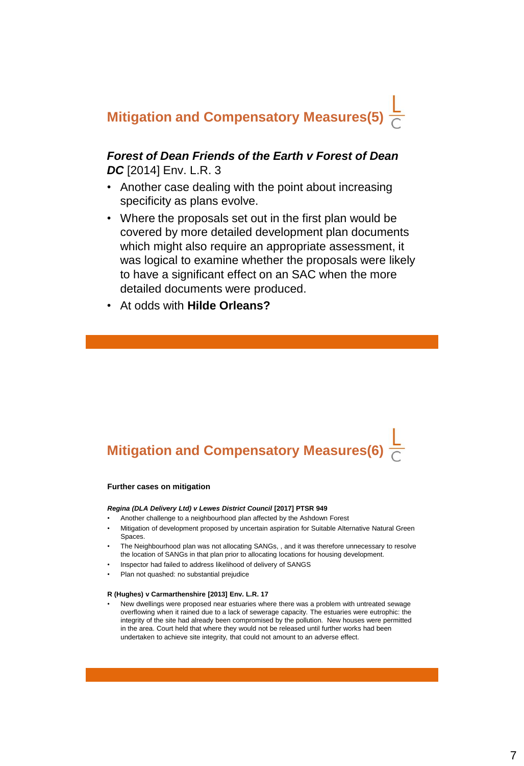## **Mitigation and Compensatory Measures(5)**

### *Forest of Dean Friends of the Earth v Forest of Dean DC* [2014] Env. L.R. 3

- Another case dealing with the point about increasing specificity as plans evolve.
- Where the proposals set out in the first plan would be covered by more detailed development plan documents which might also require an appropriate assessment, it was logical to examine whether the proposals were likely to have a significant effect on an SAC when the more detailed documents were produced.
- At odds with **Hilde Orleans?**

## **Mitigation and Compensatory Measures(6)**

#### **Further cases on mitigation**

#### *Regina (DLA Delivery Ltd) v Lewes District Council* **[2017] PTSR 949**

- Another challenge to a neighbourhood plan affected by the Ashdown Forest
- Mitigation of development proposed by uncertain aspiration for Suitable Alternative Natural Green Spaces.
- The Neighbourhood plan was not allocating SANGs, , and it was therefore unnecessary to resolve the location of SANGs in that plan prior to allocating locations for housing development.
- Inspector had failed to address likelihood of delivery of SANGS
- Plan not quashed: no substantial prejudice

#### **R (Hughes) v Carmarthenshire [2013] Env. L.R. 17**

• New dwellings were proposed near estuaries where there was a problem with untreated sewage overflowing when it rained due to a lack of sewerage capacity. The estuaries were eutrophic: the integrity of the site had already been compromised by the pollution. New houses were permitted in the area. Court held that where they would not be released until further works had been undertaken to achieve site integrity, that could not amount to an adverse effect.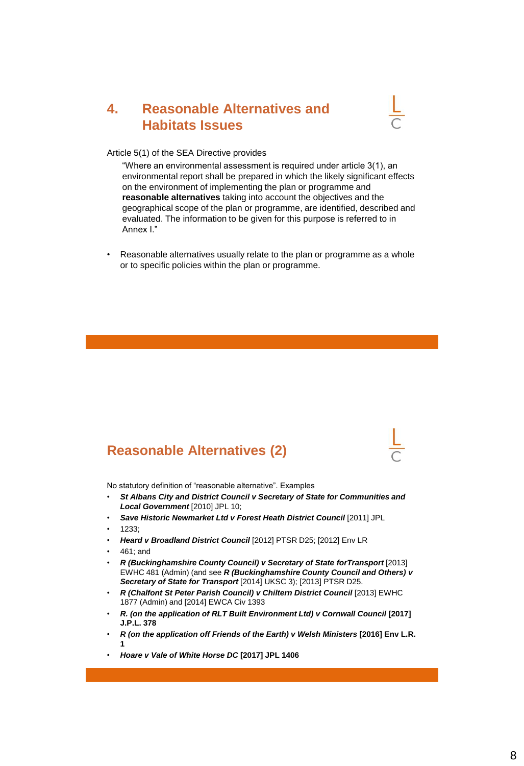## **4. Reasonable Alternatives and Habitats Issues**



Article 5(1) of the SEA Directive provides

"Where an environmental assessment is required under article 3(1), an environmental report shall be prepared in which the likely significant effects on the environment of implementing the plan or programme and **reasonable alternatives** taking into account the objectives and the geographical scope of the plan or programme, are identified, described and evaluated. The information to be given for this purpose is referred to in Annex I."

• Reasonable alternatives usually relate to the plan or programme as a whole or to specific policies within the plan or programme.

## **Reasonable Alternatives (2)**

No statutory definition of "reasonable alternative". Examples

- *St Albans City and District Council v Secretary of State for Communities and Local Government* [2010] JPL 10;
- Save Historic Newmarket Ltd v Forest Heath District Council [2011] JPL
- $1233$
- *Heard v Broadland District Council* [2012] PTSR D25; [2012] Env LR
- 461; and
- *R (Buckinghamshire County Council) v Secretary of State forTransport* [2013] EWHC 481 (Admin) (and see *R (Buckinghamshire County Council and Others) v Secretary of State for Transport* [2014] UKSC 3); [2013] PTSR D25.
- *R (Chalfont St Peter Parish Council) v Chiltern District Council* [2013] EWHC 1877 (Admin) and [2014] EWCA Civ 1393
- **R.** (on the application of RLT Built Environment Ltd) v Cornwall Council [2017] **J.P.L. 378**
- *R (on the application off Friends of the Earth) v Welsh Ministers* **[2016] Env L.R. 1**
- *Hoare v Vale of White Horse DC* **[2017] JPL 1406**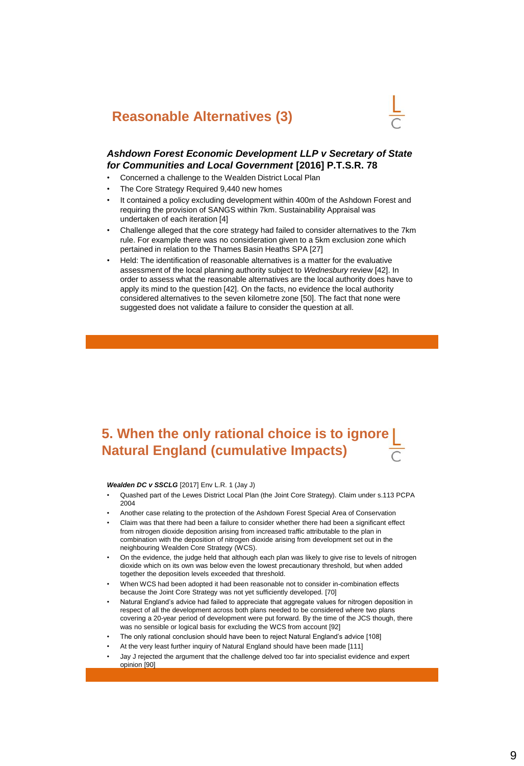## **Reasonable Alternatives (3)**



#### *Ashdown Forest Economic Development LLP v Secretary of State for Communities and Local Government* **[2016] P.T.S.R. 78**

- Concerned a challenge to the Wealden District Local Plan
- The Core Strategy Required 9,440 new homes
- It contained a policy excluding development within 400m of the Ashdown Forest and requiring the provision of SANGS within 7km. Sustainability Appraisal was undertaken of each iteration [4]
- Challenge alleged that the core strategy had failed to consider alternatives to the 7km rule. For example there was no consideration given to a 5km exclusion zone which pertained in relation to the Thames Basin Heaths SPA [27]
- Held: The identification of reasonable alternatives is a matter for the evaluative assessment of the local planning authority subject to *Wednesbury* review [42]. In order to assess what the reasonable alternatives are the local authority does have to apply its mind to the question [42]. On the facts, no evidence the local authority considered alternatives to the seven kilometre zone [50]. The fact that none were suggested does not validate a failure to consider the question at all.

## **5. When the only rational choice is to ignore Natural England (cumulative Impacts)**

#### *Wealden DC v SSCLG* [2017] Env L.R. 1 (Jay J)

- Quashed part of the Lewes District Local Plan (the Joint Core Strategy). Claim under s.113 PCPA 2004
- Another case relating to the protection of the Ashdown Forest Special Area of Conservation
- Claim was that there had been a failure to consider whether there had been a significant effect from nitrogen dioxide deposition arising from increased traffic attributable to the plan in combination with the deposition of nitrogen dioxide arising from development set out in the neighbouring Wealden Core Strategy (WCS).
- On the evidence, the judge held that although each plan was likely to give rise to levels of nitrogen dioxide which on its own was below even the lowest precautionary threshold, but when added together the deposition levels exceeded that threshold.
- When WCS had been adopted it had been reasonable not to consider in-combination effects because the Joint Core Strategy was not yet sufficiently developed. [70]
- Natural England's advice had failed to appreciate that aggregate values for nitrogen deposition in respect of all the development across both plans needed to be considered where two plans covering a 20-year period of development were put forward. By the time of the JCS though, there was no sensible or logical basis for excluding the WCS from account [92]
- The only rational conclusion should have been to reject Natural England's advice [108]
- At the very least further inquiry of Natural England should have been made [111]
- Jay J rejected the argument that the challenge delved too far into specialist evidence and expert opinion [90]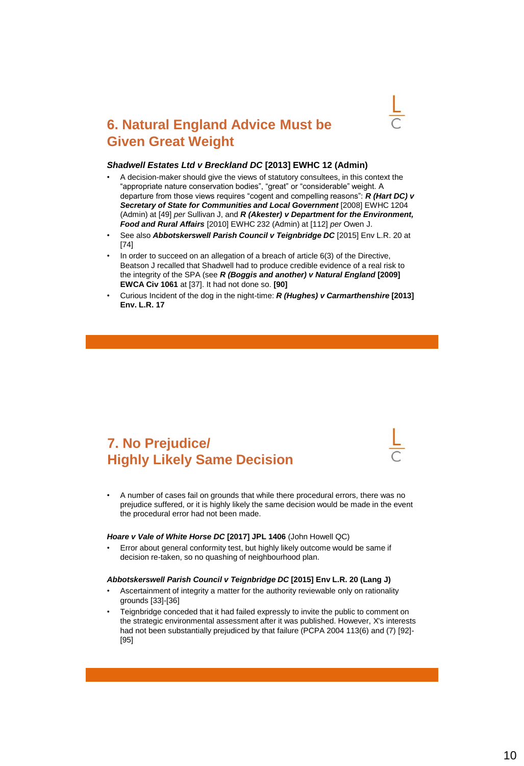

## **6. Natural England Advice Must be Given Great Weight**

#### *Shadwell Estates Ltd v Breckland DC* **[2013] EWHC 12 (Admin)**

- A decision-maker should give the views of statutory consultees, in this context the "appropriate nature conservation bodies", "great" or "considerable" weight. A departure from those views requires "cogent and compelling reasons": *R (Hart DC) v*  Secretary of State for Communities and Local Government [2008] EWHC 1204 (Admin) at [49] *per* Sullivan J, and *R (Akester) v Department for the Environment, Food and Rural Affairs* [2010] EWHC 232 (Admin) at [112] *per* Owen J.
- See also *Abbotskerswell Parish Council v Teignbridge DC* [2015] Env L.R. 20 at [74]
- In order to succeed on an allegation of a breach of article 6(3) of the Directive, Beatson J recalled that Shadwell had to produce credible evidence of a real risk to the integrity of the SPA (see *R (Boggis and another) v Natural England* **[2009] EWCA Civ 1061** at [37]. It had not done so. **[90]**
- Curious Incident of the dog in the night-time: *R (Hughes) v Carmarthenshire* **[2013] Env. L.R. 17**

## **7. No Prejudice/ Highly Likely Same Decision**

• A number of cases fail on grounds that while there procedural errors, there was no prejudice suffered, or it is highly likely the same decision would be made in the event the procedural error had not been made.

#### *Hoare v Vale of White Horse DC* **[2017] JPL 1406** (John Howell QC)

• Error about general conformity test, but highly likely outcome would be same if decision re-taken, so no quashing of neighbourhood plan.

#### *Abbotskerswell Parish Council v Teignbridge DC* **[2015] Env L.R. 20 (Lang J)**

- Ascertainment of integrity a matter for the authority reviewable only on rationality grounds [33]-[36]
- Teignbridge conceded that it had failed expressly to invite the public to comment on the strategic environmental assessment after it was published. However, X's interests had not been substantially prejudiced by that failure (PCPA 2004 113(6) and (7) [92]- [95]